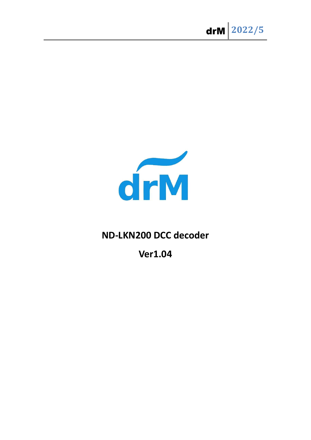

## ND-LKN200 DCC decoder

**Ver1.04**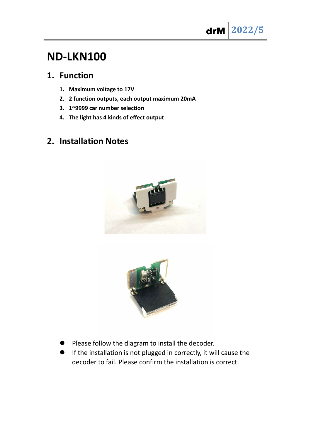# ND-LKN100

### 1. Function

- 1. Maximum voltage to 17V
- 2. 2 function outputs, each output maximum 20mA
- 3. 1~9999 car number selection
- 4. The light has 4 kinds of effect output

## 2. Installation Notes





- Please follow the diagram to install the decoder.
- If the installation is not plugged in correctly, it will cause the decoder to fail. Please confirm the installation is correct.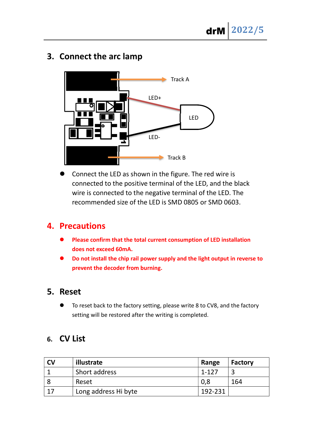## 3. Connect the arc lamp



 Connect the LED as shown in the figure. The red wire is connected to the positive terminal of the LED, and the black wire is connected to the negative terminal of the LED. The recommended size of the LED is SMD 0805 or SMD 0603.

#### 4. Precautions

- Please confirm that the total current consumption of LED installation does not exceed 60mA.
- Do not install the chip rail power supply and the light output in reverse to prevent the decoder from burning.

#### 5. Reset

 To reset back to the factory setting, please write 8 to CV8, and the factory setting will be restored after the writing is completed.

#### 6. CV List

| <b>CV</b> | illustrate           | Range   | <b>Factory</b> |
|-----------|----------------------|---------|----------------|
|           | Short address        | 1-127   |                |
|           | Reset                | 0,8     | 164            |
|           | Long address Hi byte | 192-231 |                |